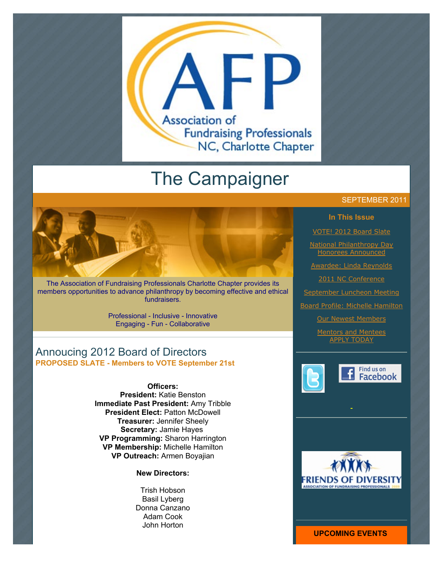

# The Campaigner

The Association of Fundraising Professionals Charlotte Chapter provides its members opportunities to advance philanthropy by becoming effective and ethical fundraisers.

> Professional - Inclusive - Innovative Engaging - Fun - Collaborative

# Annoucing 2012 Board of Directors **PROPOSED SLATE - Members to VOTE September 21st**

**Officers: President:** Katie Benston **Immediate Past President:** Amy Tribble **President Elect:** Patton McDowell **Treasurer:** Jennifer Sheely **Secretary:** Jamie Hayes **VP Programming:** Sharon Harrington **VP Membership:** Michelle Hamilton **VP Outreach:** Armen Boyajian

**New Directors:**

Trish Hobson Basil Lyberg Donna Canzano Adam Cook John Horton

#### SEPTEMBER 2011

#### **In This Issue**

[VOTE! 2012 Board Slate](http://archive.constantcontact.com/fs051/1101610725496/archive/1107376022846.html#LETTER.BLOCK44)

[National Philanthropy Day](http://archive.constantcontact.com/fs051/1101610725496/archive/1107376022846.html#LETTER.BLOCK47) Honorees Announced

[Awardee: Linda Reynolds](http://archive.constantcontact.com/fs051/1101610725496/archive/1107376022846.html#LETTER.BLOCK56)

[2011 NC Conference](http://archive.constantcontact.com/fs051/1101610725496/archive/1107376022846.html#LETTER.BLOCK53)

[September Luncheon Meeting](http://archive.constantcontact.com/fs051/1101610725496/archive/1107376022846.html#LETTER.BLOCK61)

[Board Profile: Michelle Hamilton](http://archive.constantcontact.com/fs051/1101610725496/archive/1107376022846.html#LETTER.BLOCK54)

[Our Newest Members](http://archive.constantcontact.com/fs051/1101610725496/archive/1107376022846.html#LETTER.BLOCK55)

[Mentors and Mentees](http://archive.constantcontact.com/fs051/1101610725496/archive/1107376022846.html#LETTER.BLOCK38) APPLY TODAY





**UPCOMING EVENTS**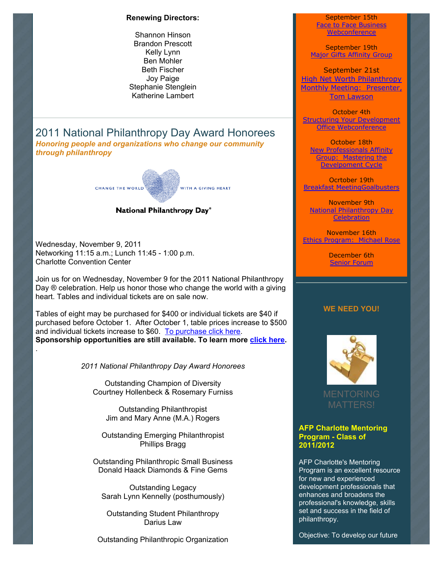#### **Renewing Directors:**

Shannon Hinson Brandon Prescott Kelly Lynn Ben Mohler Beth Fischer Joy Paige Stephanie Stenglein Katherine Lambert

2011 National Philanthropy Day Award Honorees *Honoring people and organizations who change our community through philanthropy*



#### National Philanthropy Day®

Wednesday, November 9, 2011 Networking 11:15 a.m.; Lunch 11:45 - 1:00 p.m. Charlotte Convention Center

.

Join us for on Wednesday, November 9 for the 2011 National Philanthropy Day ® celebration. Help us honor those who change the world with a giving heart. Tables and individual tickets are on sale now.

Tables of eight may be purchased for \$400 or individual tickets are \$40 if purchased before October 1. After October 1, table prices increase to \$500 and individual tickets increase to \$60. [To purchase click here.](http://www.afp-charlotte.org/rsvp_details.html?id=3284) **Sponsorship opportunities are still available. To learn more [click here.](http://www.afp-charlotte.org/npdsponsorship.html)**

*2011 National Philanthropy Day Award Honorees*

Outstanding Champion of Diversity Courtney Hollenbeck & Rosemary Furniss

Outstanding Philanthropist Jim and Mary Anne (M.A.) Rogers

Outstanding Emerging Philanthropist Phillips Bragg

Outstanding Philanthropic Small Business Donald Haack Diamonds & Fine Gems

Outstanding Legacy Sarah Lynn Kennelly (posthumously)

Outstanding Student Philanthropy Darius Law

Outstanding Philanthropic Organization

September 15th [Face to Face Business](http://www.afp-charlotte.org/rsvp_details.html?id=3038) Webconference

September 19th [Major Gifts Affinity Group](http://www.afp-charlotte.org/rsvp_details.html?id=3276)

September 21st High Net Worth Philanthropy [Monthly Meeting: Presenter,](http://www.afp-charlotte.org/rsvp_details.html?id=3013) **Tom Lawson** 

October 4th [Structuring Your Development](http://www.afp-charlotte.org/rsvp_details.html?id=3039) Office Webconference

October 18th [New Professionals Affinity](http://www.afp-charlotte.org/rsvp_details.html?id=3322) Group: Mastering the Develpoment Cycle

Ocrtober 19th [Breakfast MeetingGoalbusters](http://www.afp-charlotte.org/rsvp_details.html?id=3046)

November 9th [National Philanthropy Day](http://www.afp-charlotte.org/rsvp_details.html?id=3284) **Celebration** 

November 16th [Ethics Program: Michael Rose](http://www.afp-charlotte.org/rsvp_details.html?id=3047)

> December 6th [Senior Forum](http://www.afp-charlotte.org/rsvp_details.html?id=3334)

#### **WE NEED YOU!**



#### **AFP Charlotte Mentoring Program - Class of 2011/2012**

AFP Charlotte's Mentoring Program is an excellent resource for new and experienced development professionals that enhances and broadens the professional's knowledge, skills set and success in the field of philanthropy.

Objective: To develop our future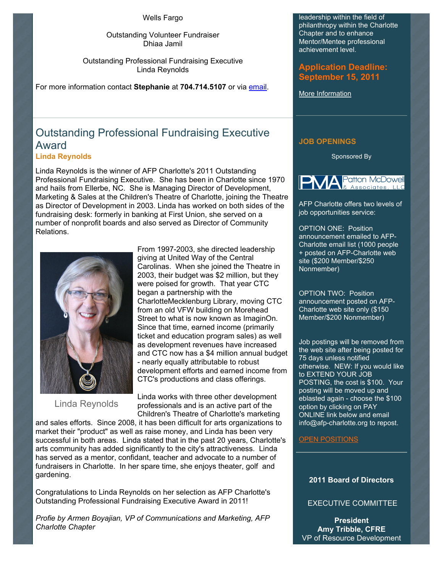Wells Fargo

Outstanding Volunteer Fundraiser Dhiaa Jamil

Outstanding Professional Fundraising Executive Linda Reynolds

For more information contact **Stephanie** at **704.714.5107** or via [email.](mailto:stephanies@charlottesymphony.org)

# Outstanding Professional Fundraising Executive Award

**Linda Reynolds**

Linda Reynolds is the winner of AFP Charlotte's 2011 Outstanding Professional Fundraising Executive. She has been in Charlotte since 1970 and hails from Ellerbe, NC. She is Managing Director of Development, Marketing & Sales at the Children's Theatre of Charlotte, joining the Theatre as Director of Development in 2003. Linda has worked on both sides of the fundraising desk: formerly in banking at First Union, she served on a number of nonprofit boards and also served as Director of Community Relations.



Linda Reynolds

From 1997-2003, she directed leadership giving at United Way of the Central Carolinas. When she joined the Theatre in 2003, their budget was \$2 million, but they were poised for growth. That year CTC began a partnership with the CharlotteMecklenburg Library, moving CTC from an old VFW building on Morehead Street to what is now known as ImaginOn. Since that time, earned income (primarily ticket and education program sales) as well as development revenues have increased and CTC now has a \$4 million annual budget - nearly equally attributable to robust development efforts and earned income from CTC's productions and class offerings.

Linda works with three other development professionals and is an active part of the Children's Theatre of Charlotte's marketing

and sales efforts. Since 2008, it has been difficult for arts organizations to market their "product" as well as raise money, and Linda has been very successful in both areas. Linda stated that in the past 20 years, Charlotte's arts community has added significantly to the city's attractiveness. Linda has served as a mentor, confidant, teacher and advocate to a number of fundraisers in Charlotte. In her spare time, she enjoys theater, golf and gardening.

Congratulations to Linda Reynolds on her selection as AFP Charlotte's Outstanding Professional Fundraising Executive Award in 2011!

*Profie by Armen Boyajian, VP of Communications and Marketing, AFP Charlotte Chapter*

leadership within the field of philanthropy within the Charlotte Chapter and to enhance Mentor/Mentee professional achievement level.

**Application Deadline: September 15, 2011**

[More Information](http://www.afp-charlotte.org/page4.html)

### **JOB OPENINGS**

Sponsored By



AFP Charlotte offers two levels of job opportunities service:

OPTION ONE: Position announcement emailed to AFP-Charlotte email list (1000 people + posted on AFP-Charlotte web site (\$200 Member/\$250 Nonmember)

OPTION TWO: Position announcement posted on AFP-Charlotte web site only (\$150 Member/\$200 Nonmember)

Job postings will be removed from the web site after being posted for 75 days unless notified otherwise. NEW: If you would like to EXTEND YOUR JOB POSTING, the cost is \$100. Your posting will be moved up and eblasted again - choose the \$100 option by clicking on PAY ONLINE link below and email info@afp-charlotte.org to repost.

#### [OPEN POSITIONS](http://www.afp-charlotte.org/executivereferrals.html)

#### **2011 Board of Directors**

EXECUTIVE COMMITTEE

**President Amy Tribble, CFRE** VP of Resource Development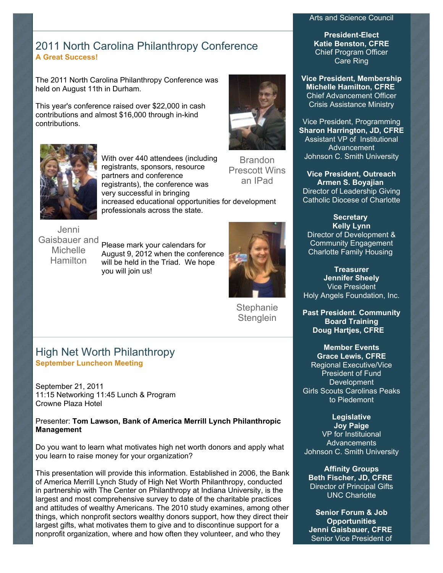#### Arts and Science Council

**President-Elect Katie Benston, CFRE** Chief Program Officer Care Ring

**Vice President, Membership Michelle Hamilton, CFRE** Chief Advancement Officer Crisis Assistance Ministry

Vice President, Programming **Sharon Harrington, JD, CFRE** Assistant VP of Institutional Advancement Johnson C. Smith University

**Vice President, Outreach Armen S. Boyajian** Director of Leadership Giving Catholic Diocese of Charlotte

**Secretary Kelly Lynn** Director of Development & Community Engagement Charlotte Family Housing

**Treasurer Jennifer Sheely** Vice President Holy Angels Foundation, Inc.

**Past President. Community Board Training Doug Hartjes, CFRE**

**Member Events Grace Lewis, CFRE** Regional Executive/Vice President of Fund **Development** Girls Scouts Carolinas Peaks to Piedemont

**Legislative Joy Paige** VP for Instituional Advancements Johnson C. Smith University

**Affinity Groups Beth Fischer, JD, CFRE** Director of Principal Gifts UNC Charlotte

**Senior Forum & Job Opportunities Jenni Gaisbauer, CFRE** Senior Vice President of

# 2011 North Carolina Philanthropy Conference **A Great Success!**

The 2011 North Carolina Philanthropy Conference was held on August 11th in Durham.

This year's conference raised over \$22,000 in cash contributions and almost \$16,000 through in-kind contributions.



**Brandon** Prescott Wins an IPad With over 440 attendees (including registrants, sponsors, resource partners and conference registrants), the conference was very successful in bringing increased educational opportunities for development professionals across the state.

Jenni Gaisbauer and **Michelle Hamilton** 

Please mark your calendars for August 9, 2012 when the conference will be held in the Triad. We hope you will join us!



**Stephanie Stenglein** 

# High Net Worth Philanthropy **September Luncheon Meeting**

September 21, 2011 11:15 Networking 11:45 Lunch & Program Crowne Plaza Hotel

Presenter: **Tom Lawson, Bank of America Merrill Lynch Philanthropic Management**

Do you want to learn what motivates high net worth donors and apply what you learn to raise money for your organization?

This presentation will provide this information. Established in 2006, the Bank of America Merrill Lynch Study of High Net Worth Philanthropy, conducted in partnership with The Center on Philanthropy at Indiana University, is the largest and most comprehensive survey to date of the charitable practices and attitudes of wealthy Americans. The 2010 study examines, among other things, which nonprofit sectors wealthy donors support, how they direct their largest gifts, what motivates them to give and to discontinue support for a nonprofit organization, where and how often they volunteer, and who they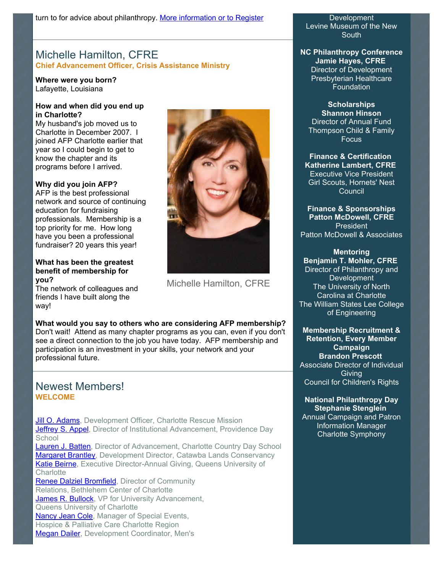# Michelle Hamilton, CFRE **Chief Advancement Officer, Crisis Assistance Ministry**

**Where were you born?**  Lafayette, Louisiana

#### **How and when did you end up in Charlotte?**

My husband's job moved us to Charlotte in December 2007. I joined AFP Charlotte earlier that year so I could begin to get to know the chapter and its programs before I arrived.

#### **Why did you join AFP?**

AFP is the best professional network and source of continuing education for fundraising professionals. Membership is a top priority for me. How long have you been a professional fundraiser? 20 years this year!

#### **What has been the greatest benefit of membership for you?**

The network of colleagues and friends I have built along the way!



Michelle Hamilton, CFRE

#### **What would you say to others who are considering AFP membership?**

Don't wait! Attend as many chapter programs as you can, even if you don't see a direct connection to the job you have today. AFP membership and participation is an investment in your skills, your network and your professional future.

# Newest Members! **WELCOME**

[Jill O. Adams,](mailto:jill.adams@charlotterescuemission.org) Development Officer, Charlotte Rescue Mission [Jeffrey S. Appel,](mailto:jeffrey.appel@providenceday.org) Director of Institutional Advancement, Providence Day **School** 

[Lauren J. Batten,](mailto:lbatten@vandeverbatten.com) Director of Advancement, Charlotte Country Day School **Margaret Brantley**, Development Director, Catawba Lands Conservancy [Katie Beirne,](mailto:beirnek@queens.edu) Executive Director-Annual Giving, Queens University of **Charlotte** 

[Renee Dalziel Bromfield,](mailto:rbromfield@bethlehemcenter.org) Director of Community Relations, Bethlehem Center of Charlotte [James R. Bullock,](mailto:bullockj@queens.edu) VP for University Advancement, Queens University of Charlotte [Nancy Jean Cole](mailto:colen@hpccr.org), Manager of Special Events, Hospice & Palliative Care Charlotte Region [Megan Dailer,](mailto:megan.dailer@mensshelterofcharlotte.org) Development Coordinator, Men's

**Development** Levine Museum of the New South

**NC Philanthropy Conference Jamie Hayes, CFRE** Director of Development Presbyterian Healthcare **Foundation** 

#### **Scholarships Shannon Hinson** Director of Annual Fund Thompson Child & Family Focus

**Finance & Certification Katherine Lambert, CFRE** Executive Vice President Girl Scouts, Hornets' Nest Council

**Finance & Sponsorships Patton McDowell, CFRE** President Patton McDowell & Associates

**Mentoring Benjamin T. Mohler, CFRE** Director of Philanthropy and **Development** The University of North Carolina at Charlotte The William States Lee College of Engineering

**Membership Recruitment & Retention, Every Member Campaign Brandon Prescott** Associate Director of Individual **Giving** Council for Children's Rights

#### **National Philanthropy Day Stephanie Stenglein**

Annual Campaign and Patron Information Manager Charlotte Symphony